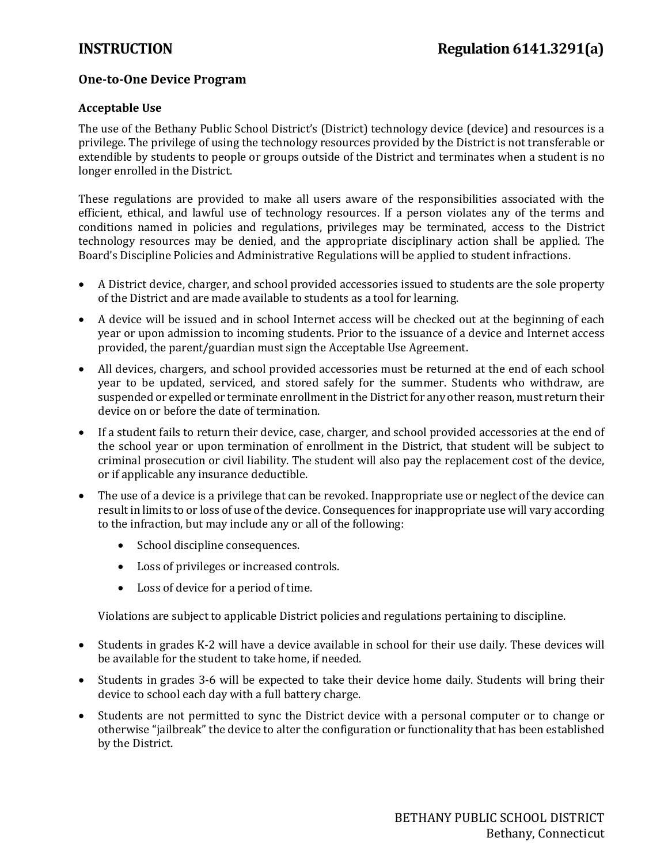## **One-to-One Device Program**

## **Acceptable Use**

The use of the Bethany Public School District's (District) technology device (device) and resources is a privilege. The privilege of using the technology resources provided by the District is not transferable or extendible by students to people or groups outside of the District and terminates when a student is no longer enrolled in the District.

These regulations are provided to make all users aware of the responsibilities associated with the efficient, ethical, and lawful use of technology resources. If a person violates any of the terms and conditions named in policies and regulations, privileges may be terminated, access to the District technology resources may be denied, and the appropriate disciplinary action shall be applied. The Board's Discipline Policies and Administrative Regulations will be applied to student infractions.

- A District device, charger, and school provided accessories issued to students are the sole property of the District and are made available to students as a tool for learning.
- A device will be issued and in school Internet access will be checked out at the beginning of each year or upon admission to incoming students. Prior to the issuance of a device and Internet access provided, the parent/guardian must sign the Acceptable Use Agreement.
- All devices, chargers, and school provided accessories must be returned at the end of each school year to be updated, serviced, and stored safely for the summer. Students who withdraw, are suspended or expelled or terminate enrollment in the District for any other reason, must return their device on or before the date of termination.
- If a student fails to return their device, case, charger, and school provided accessories at the end of the school year or upon termination of enrollment in the District, that student will be subject to criminal prosecution or civil liability. The student will also pay the replacement cost of the device, or if applicable any insurance deductible.
- The use of a device is a privilege that can be revoked. Inappropriate use or neglect of the device can result in limits to or loss of use of the device. Consequences for inappropriate use will vary according to the infraction, but may include any or all of the following:
	- School discipline consequences.
	- Loss of privileges or increased controls.
	- Loss of device for a period of time.

Violations are subject to applicable District policies and regulations pertaining to discipline.

- Students in grades K-2 will have a device available in school for their use daily. These devices will be available for the student to take home, if needed.
- Students in grades 3-6 will be expected to take their device home daily. Students will bring their device to school each day with a full battery charge.
- Students are not permitted to sync the District device with a personal computer or to change or otherwise "jailbreak" the device to alter the configuration or functionality that has been established by the District.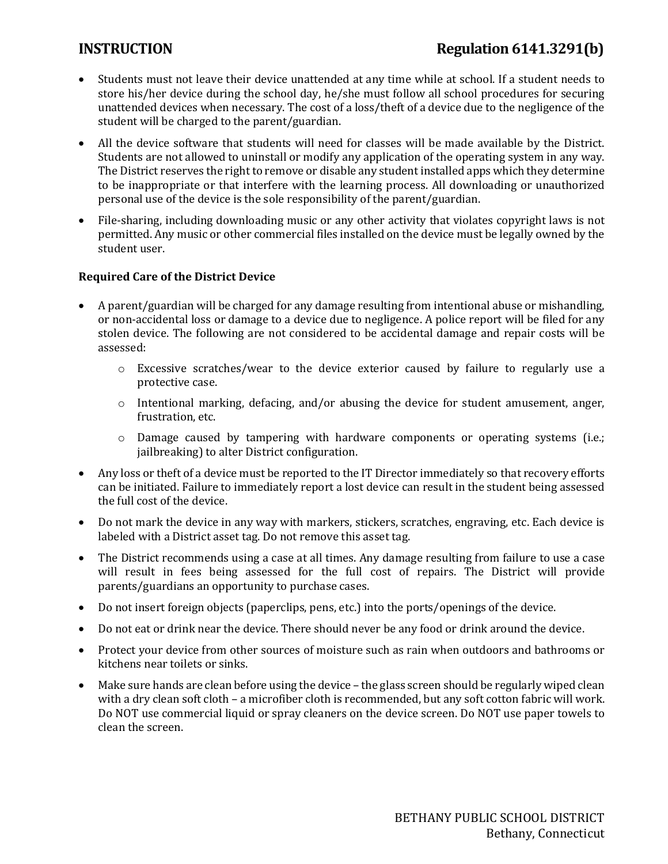# **INSTRUCTION Regulation 6141.3291(b)**

- Students must not leave their device unattended at any time while at school. If a student needs to store his/her device during the school day, he/she must follow all school procedures for securing unattended devices when necessary. The cost of a loss/theft of a device due to the negligence of the student will be charged to the parent/guardian.
- All the device software that students will need for classes will be made available by the District. Students are not allowed to uninstall or modify any application of the operating system in any way. The District reserves the right to remove or disable any student installed apps which they determine to be inappropriate or that interfere with the learning process. All downloading or unauthorized personal use of the device is the sole responsibility of the parent/guardian.
- File-sharing, including downloading music or any other activity that violates copyright laws is not permitted. Any music or other commercial files installed on the device must be legally owned by the student user.

### **Required Care of the District Device**

- A parent/guardian will be charged for any damage resulting from intentional abuse or mishandling, or non-accidental loss or damage to a device due to negligence. A police report will be filed for any stolen device. The following are not considered to be accidental damage and repair costs will be assessed:
	- o Excessive scratches/wear to the device exterior caused by failure to regularly use a protective case.
	- $\circ$  Intentional marking, defacing, and/or abusing the device for student amusement, anger, frustration, etc.
	- $\circ$  Damage caused by tampering with hardware components or operating systems (i.e.; jailbreaking) to alter District configuration.
- Any loss or theft of a device must be reported to the IT Director immediately so that recovery efforts can be initiated. Failure to immediately report a lost device can result in the student being assessed the full cost of the device.
- Do not mark the device in any way with markers, stickers, scratches, engraving, etc. Each device is labeled with a District asset tag. Do not remove this asset tag.
- The District recommends using a case at all times. Any damage resulting from failure to use a case will result in fees being assessed for the full cost of repairs. The District will provide parents/guardians an opportunity to purchase cases.
- Do not insert foreign objects (paperclips, pens, etc.) into the ports/openings of the device.
- Do not eat or drink near the device. There should never be any food or drink around the device.
- Protect your device from other sources of moisture such as rain when outdoors and bathrooms or kitchens near toilets or sinks.
- Make sure hands are clean before using the device the glass screen should be regularly wiped clean with a dry clean soft cloth – a microfiber cloth is recommended, but any soft cotton fabric will work. Do NOT use commercial liquid or spray cleaners on the device screen. Do NOT use paper towels to clean the screen.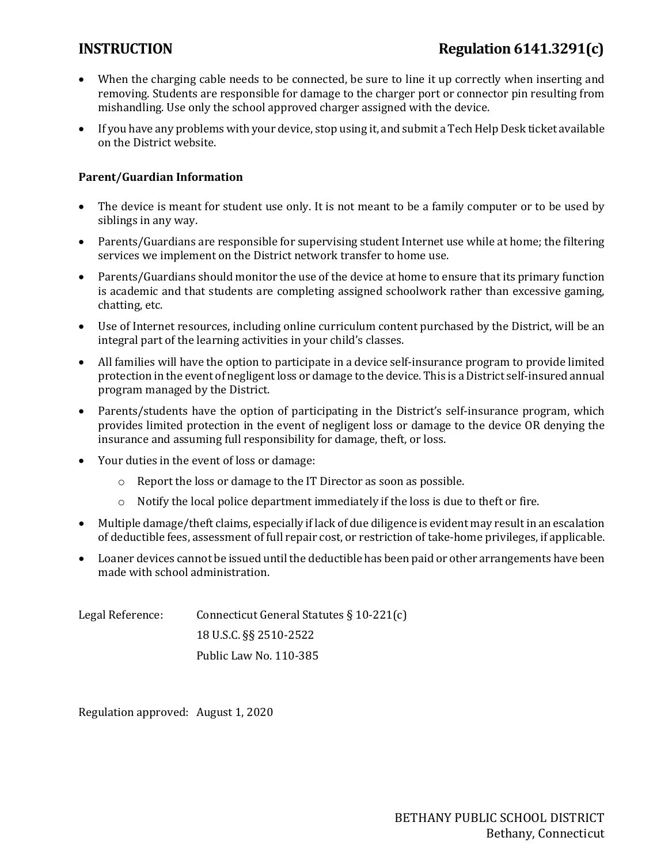- When the charging cable needs to be connected, be sure to line it up correctly when inserting and removing. Students are responsible for damage to the charger port or connector pin resulting from mishandling. Use only the school approved charger assigned with the device.
- If you have any problems with your device, stop using it, and submit a Tech Help Desk ticket available on the District website.

### **Parent/Guardian Information**

- The device is meant for student use only. It is not meant to be a family computer or to be used by siblings in any way.
- Parents/Guardians are responsible for supervising student Internet use while at home; the filtering services we implement on the District network transfer to home use.
- Parents/Guardians should monitor the use of the device at home to ensure that its primary function is academic and that students are completing assigned schoolwork rather than excessive gaming, chatting, etc.
- Use of Internet resources, including online curriculum content purchased by the District, will be an integral part of the learning activities in your child's classes.
- All families will have the option to participate in a device self-insurance program to provide limited protection in the event of negligent loss or damage to the device. This is a District self-insured annual program managed by the District.
- Parents/students have the option of participating in the District's self-insurance program, which provides limited protection in the event of negligent loss or damage to the device OR denying the insurance and assuming full responsibility for damage, theft, or loss.
- Your duties in the event of loss or damage:
	- o Report the loss or damage to the IT Director as soon as possible.
	- $\circ$  Notify the local police department immediately if the loss is due to theft or fire.
- Multiple damage/theft claims, especially if lack of due diligence is evident may result in an escalation of deductible fees, assessment of full repair cost, or restriction of take-home privileges, if applicable.
- Loaner devices cannot be issued until the deductible has been paid or other arrangements have been made with school administration.

| Legal Reference: | Connecticut General Statutes $\S 10-221(c)$ |
|------------------|---------------------------------------------|
|                  | 18 U.S.C. §§ 2510-2522                      |
|                  | Public Law No. 110-385                      |

Regulation approved: August 1, 2020